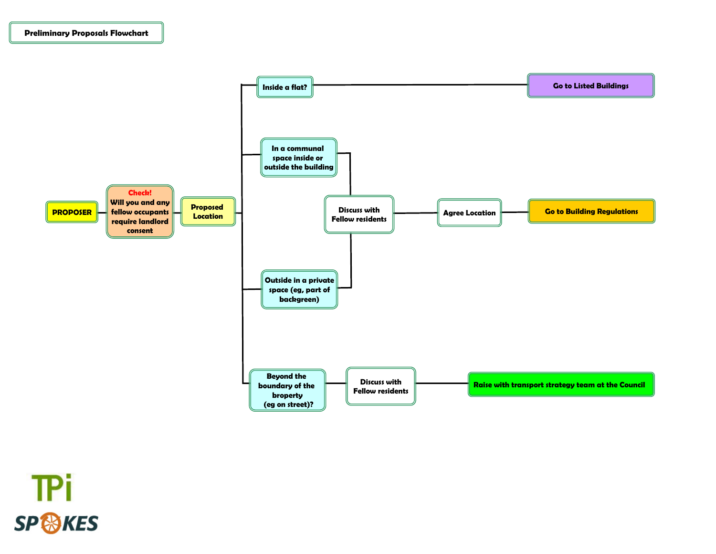

**TPi SP & KES**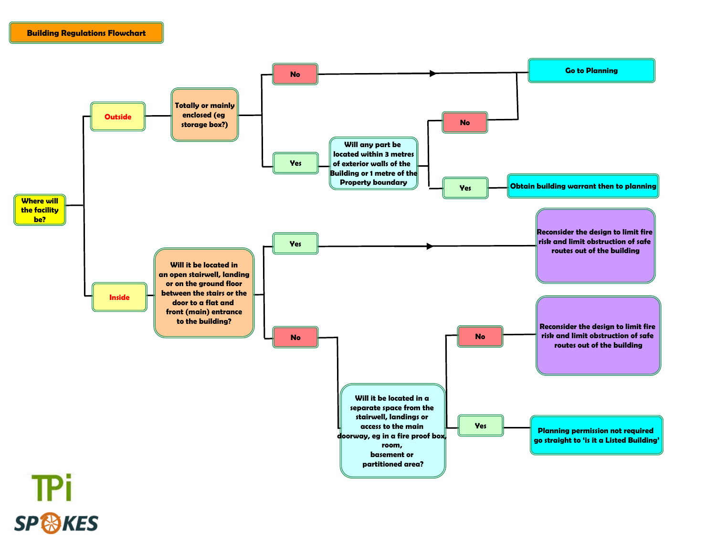

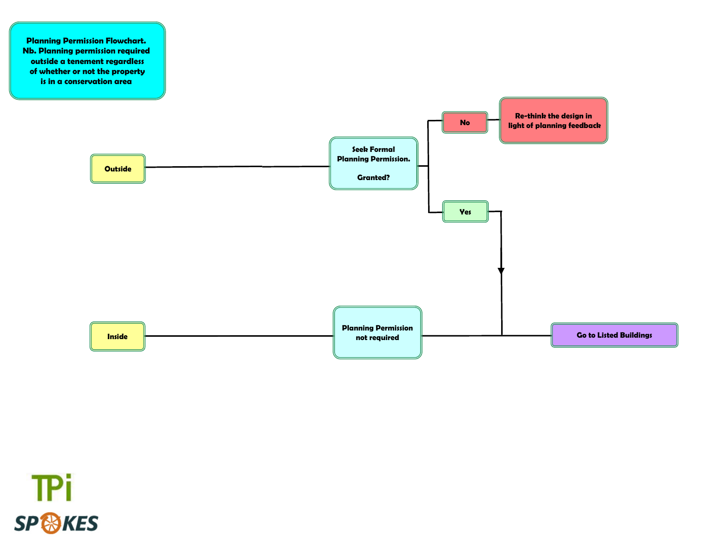